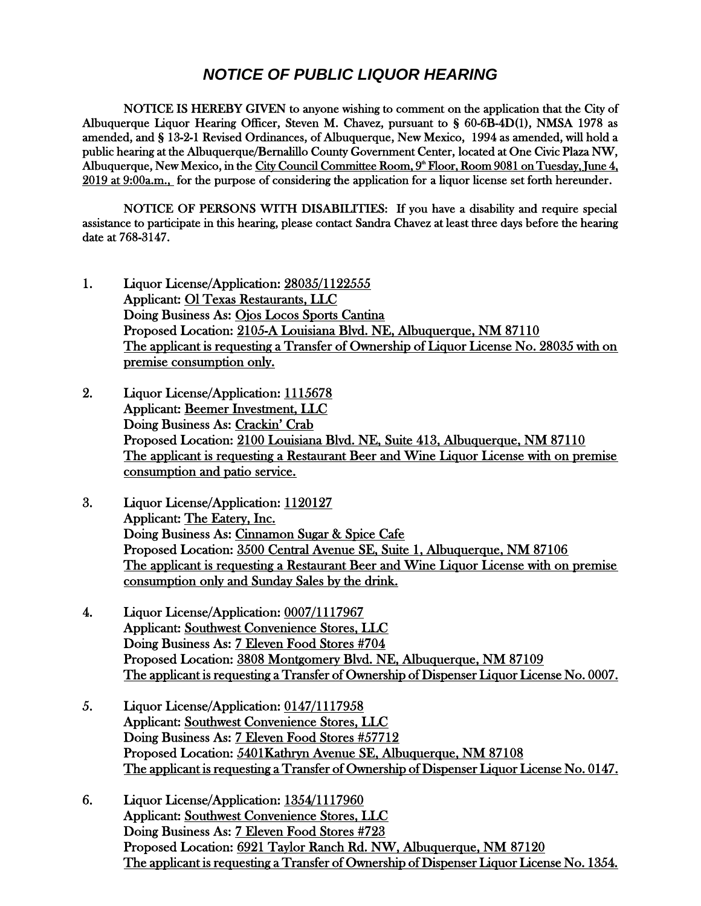## *NOTICE OF PUBLIC LIQUOR HEARING*

NOTICE IS HEREBY GIVEN to anyone wishing to comment on the application that the City of Albuquerque Liquor Hearing Officer, Steven M. Chavez, pursuant to § 60-6B-4D(1), NMSA 1978 as amended, and § 13-2-1 Revised Ordinances, of Albuquerque, New Mexico, 1994 as amended, will hold a public hearing at the Albuquerque/Bernalillo County Government Center, located at One Civic Plaza NW, Albuquerque, New Mexico, in the <u>City Council Committee Room, 9<sup>ª</sup> Floor, Room 9081 on Tuesday, June 4,</u> 2019 at 9:00a.m., for the purpose of considering the application for a liquor license set forth hereunder.

NOTICE OF PERSONS WITH DISABILITIES: If you have a disability and require special assistance to participate in this hearing, please contact Sandra Chavez at least three days before the hearing date at 768-3147.

- 1. Liquor License/Application: 28035/1122555 Applicant: Ol Texas Restaurants, LLC Doing Business As: Ojos Locos Sports Cantina Proposed Location: 2105-A Louisiana Blvd. NE, Albuquerque, NM 87110 The applicant is requesting a Transfer of Ownership of Liquor License No. 28035 with on premise consumption only.
- 2. Liquor License/Application: 1115678 Applicant: Beemer Investment, LLC Doing Business As: Crackin' Crab Proposed Location: 2100 Louisiana Blvd. NE, Suite 413, Albuquerque, NM 87110 The applicant is requesting a Restaurant Beer and Wine Liquor License with on premise consumption and patio service.
- 3. Liquor License/Application: 1120127 Applicant: The Eatery, Inc. Doing Business As: Cinnamon Sugar & Spice Cafe Proposed Location: 3500 Central Avenue SE, Suite 1, Albuquerque, NM 87106 The applicant is requesting a Restaurant Beer and Wine Liquor License with on premise consumption only and Sunday Sales by the drink.
- 4. Liquor License/Application: 0007/1117967 Applicant: Southwest Convenience Stores, LLC Doing Business As: 7 Eleven Food Stores #704 Proposed Location: 3808 Montgomery Blvd. NE, Albuquerque, NM 87109 The applicant is requesting a Transfer of Ownership of Dispenser Liquor License No. 0007.
- 5. Liquor License/Application: 0147/1117958 Applicant: Southwest Convenience Stores, LLC Doing Business As: 7 Eleven Food Stores #57712 Proposed Location: 5401Kathryn Avenue SE, Albuquerque, NM 87108 The applicant is requesting a Transfer of Ownership of Dispenser Liquor License No. 0147.
- 6. Liquor License/Application: 1354/1117960 Applicant: Southwest Convenience Stores, LLC Doing Business As: 7 Eleven Food Stores #723 Proposed Location: 6921 Taylor Ranch Rd. NW, Albuquerque, NM 87120 The applicant is requesting a Transfer of Ownership of Dispenser Liquor License No. 1354.